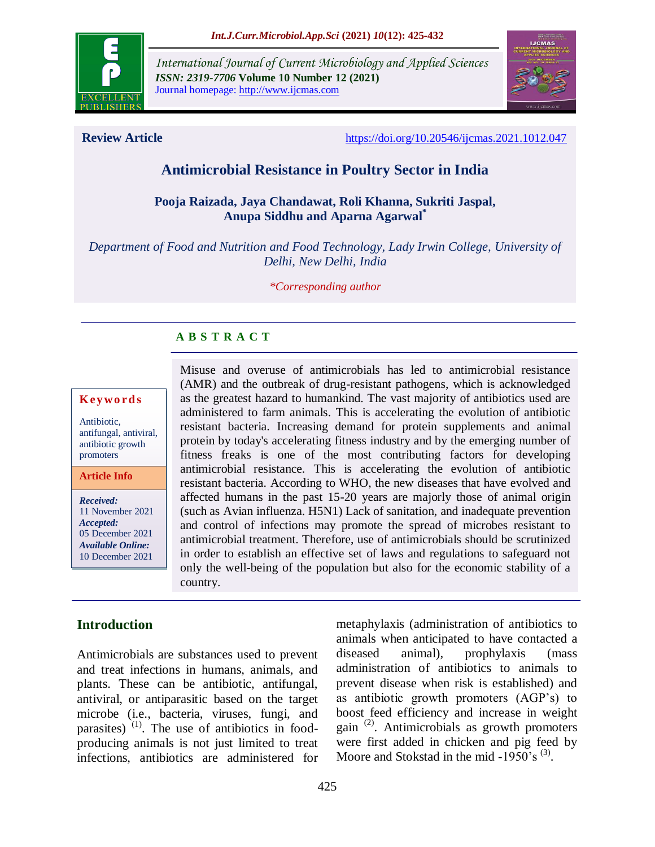

*International Journal of Current Microbiology and Applied Sciences ISSN: 2319-7706* **Volume 10 Number 12 (2021)**  Journal homepage: http://www.ijcmas.com



**Review Article** <https://doi.org/10.20546/ijcmas.2021.1012.047>

# **Antimicrobial Resistance in Poultry Sector in India**

#### **Pooja Raizada, Jaya Chandawat, Roli Khanna, Sukriti Jaspal, Anupa Siddhu and Aparna Agarwal\***

*Department of Food and Nutrition and Food Technology, Lady Irwin College, University of Delhi, New Delhi, India*

*\*Corresponding author*

#### **A B S T R A C T**

#### **K ey w o rd s**

Antibiotic, antifungal, antiviral, antibiotic growth promoters

**Article Info**

*Received:*  11 November 2021 *Accepted:*  05 December 2021 *Available Online:* 10 December 2021

Misuse and overuse of antimicrobials has led to antimicrobial resistance (AMR) and the outbreak of drug-resistant pathogens, which is acknowledged as the greatest hazard to humankind. The vast majority of antibiotics used are administered to farm animals. This is accelerating the evolution of antibiotic resistant bacteria. Increasing demand for protein supplements and animal protein by today's accelerating fitness industry and by the emerging number of fitness freaks is one of the most contributing factors for developing antimicrobial resistance. This is accelerating the evolution of antibiotic resistant bacteria. According to WHO, the new diseases that have evolved and affected humans in the past 15-20 years are majorly those of animal origin (such as Avian influenza. H5N1) Lack of sanitation, and inadequate prevention and control of infections may promote the spread of microbes resistant to antimicrobial treatment. Therefore, use of antimicrobials should be scrutinized in order to establish an effective set of laws and regulations to safeguard not only the well-being of the population but also for the economic stability of a country.

## **Introduction**

Antimicrobials are substances used to prevent and treat infections in humans, animals, and plants. These can be antibiotic, antifungal, antiviral, or antiparasitic based on the target microbe (i.e., bacteria, viruses, fungi, and parasites)  $(1)$ . The use of antibiotics in foodproducing animals is not just limited to treat infections, antibiotics are administered for

metaphylaxis (administration of antibiotics to animals when anticipated to have contacted a diseased animal), prophylaxis (mass administration of antibiotics to animals to prevent disease when risk is established) and as antibiotic growth promoters (AGP"s) to boost feed efficiency and increase in weight gain<sup>(2)</sup>. Antimicrobials as growth promoters were first added in chicken and pig feed by Moore and Stokstad in the mid  $-1950^{\circ}$ s<sup>(3)</sup>.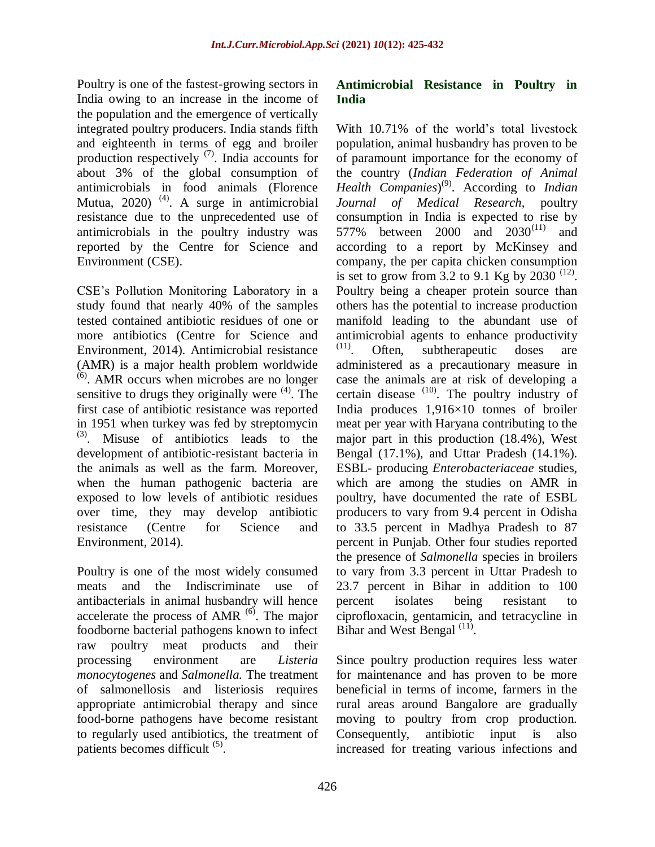Poultry is one of the fastest-growing sectors in India owing to an increase in the income of the population and the emergence of vertically integrated poultry producers. India stands fifth and eighteenth in terms of egg and broiler production respectively  $(7)$ . India accounts for about 3% of the global consumption of antimicrobials in food animals (Florence Mutua,  $2020$ )<sup>(4)</sup>. A surge in antimicrobial resistance due to the unprecedented use of antimicrobials in the poultry industry was reported by the Centre for Science and Environment (CSE).

CSE"s Pollution Monitoring Laboratory in a study found that nearly 40% of the samples tested contained antibiotic residues of one or more antibiotics (Centre for Science and Environment, 2014). Antimicrobial resistance (AMR) is a major health problem worldwide (6) . AMR occurs when microbes are no longer sensitive to drugs they originally were  $(4)$ . The first case of antibiotic resistance was reported in 1951 when turkey was fed by streptomycin (3) . Misuse of antibiotics leads to the development of antibiotic-resistant bacteria in the animals as well as the farm. Moreover, when the human pathogenic bacteria are exposed to low levels of antibiotic residues over time, they may develop antibiotic resistance (Centre for Science and Environment, 2014).

Poultry is one of the most widely consumed meats and the Indiscriminate use of antibacterials in animal husbandry will hence accelerate the process of AMR  $^{(6)}$ . The major foodborne bacterial pathogens known to infect raw poultry meat products and their processing environment are *Listeria monocytogenes* and *Salmonella.* The treatment of salmonellosis and listeriosis requires appropriate antimicrobial therapy and since food-borne pathogens have become resistant to regularly used antibiotics, the treatment of patients becomes difficult <sup>(5)</sup>.

#### **Antimicrobial Resistance in Poultry in India**

With 10.71% of the world's total livestock population, animal husbandry has proven to be of paramount importance for the economy of the country (*Indian Federation of Animal*  Health Companies)<sup>(9)</sup>. According to *Indian Journal of Medical Research*, poultry consumption in India is expected to rise by 577% between 2000 and  $2030^{(11)}$ and according to a report by McKinsey and company, the per capita chicken consumption is set to grow from  $3.2$  to 9.1 Kg by 2030<sup>(12)</sup>. Poultry being a cheaper protein source than others has the potential to increase production manifold leading to the abundant use of antimicrobial agents to enhance productivity (11) Often, subtherapeutic doses are administered as a precautionary measure in case the animals are at risk of developing a certain disease  $(10)$ . The poultry industry of India produces 1,916×10 tonnes of broiler meat per year with Haryana contributing to the major part in this production (18.4%), West Bengal (17.1%), and Uttar Pradesh (14.1%). ESBL- producing *Enterobacteriaceae* studies, which are among the studies on AMR in poultry, have documented the rate of ESBL producers to vary from 9.4 percent in Odisha to 33.5 percent in Madhya Pradesh to 87 percent in Punjab. Other four studies reported the presence of *Salmonella* species in broilers to vary from 3.3 percent in Uttar Pradesh to 23.7 percent in Bihar in addition to 100 percent isolates being resistant to ciprofloxacin, gentamicin, and tetracycline in Bihar and West Bengal  $^{(11)}$ .

Since poultry production requires less water for maintenance and has proven to be more beneficial in terms of income, farmers in the rural areas around Bangalore are gradually moving to poultry from crop production. Consequently, antibiotic input is also increased for treating various infections and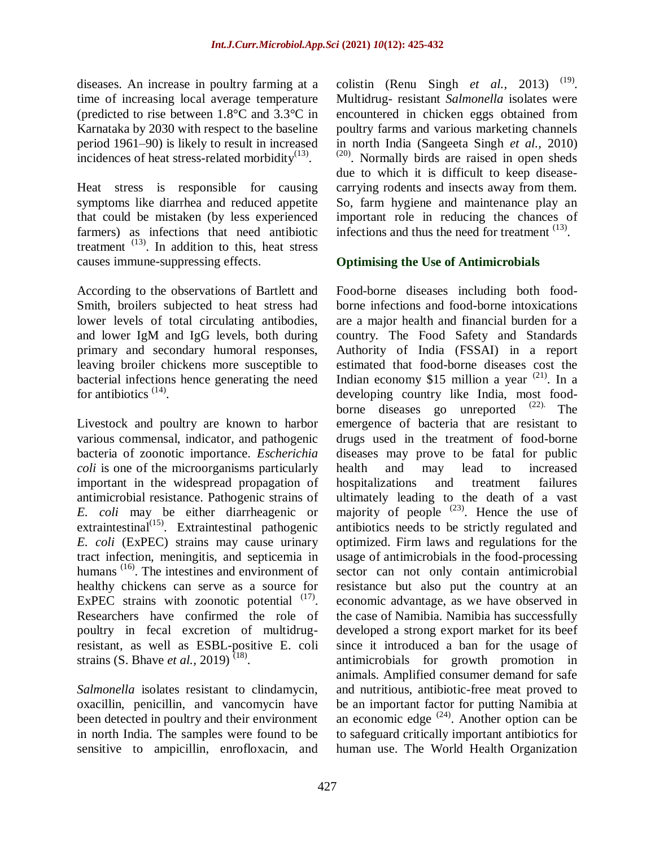diseases. An increase in poultry farming at a time of increasing local average temperature (predicted to rise between 1.8°C and 3.3°C in Karnataka by 2030 with respect to the baseline period 1961–90) is likely to result in increased incidences of heat stress-related morbidity $(13)$ .

Heat stress is responsible for causing symptoms like diarrhea and reduced appetite that could be mistaken (by less experienced farmers) as infections that need antibiotic treatment  $(13)$ . In addition to this, heat stress causes immune-suppressing effects.

According to the observations of Bartlett and Smith, broilers subjected to heat stress had lower levels of total circulating antibodies, and lower IgM and IgG levels, both during primary and secondary humoral responses, leaving broiler chickens more susceptible to bacterial infections hence generating the need for antibiotics  $(14)$ .

Livestock and poultry are known to harbor various commensal, indicator, and pathogenic bacteria of zoonotic importance. *Escherichia coli* is one of the microorganisms particularly important in the widespread propagation of antimicrobial resistance. Pathogenic strains of *E. coli* may be either diarrheagenic or extraintestinal<sup>(15)</sup>. Extraintestinal pathogenic *E. coli* (ExPEC) strains may cause urinary tract infection, meningitis, and septicemia in humans<sup>(16)</sup>. The intestines and environment of healthy chickens can serve as a source for ExPEC strains with zoonotic potential  $(17)$ . Researchers have confirmed the role of poultry in fecal excretion of multidrugresistant, as well as ESBL-positive E. coli strains (S. Bhave *et al.*, 2019)<sup>(18)</sup>.

*Salmonella* isolates resistant to clindamycin, oxacillin, penicillin, and vancomycin have been detected in poultry and their environment in north India. The samples were found to be sensitive to ampicillin, enrofloxacin, and

colistin (Renu Singh *et al.*, 2013)<sup>(19)</sup>. Multidrug- resistant *Salmonella* isolates were encountered in chicken eggs obtained from poultry farms and various marketing channels in north India (Sangeeta Singh *et al.,* 2010) (20) . Normally birds are raised in open sheds due to which it is difficult to keep diseasecarrying rodents and insects away from them. So, farm hygiene and maintenance play an important role in reducing the chances of infections and thus the need for treatment <sup>(13)</sup>.

## **Optimising the Use of Antimicrobials**

Food-borne diseases including both foodborne infections and food-borne intoxications are a major health and financial burden for a country. The Food Safety and Standards Authority of India (FSSAI) in a report estimated that food-borne diseases cost the Indian economy \$15 million a year  $(21)$ . In a developing country like India, most foodborne diseases go unreported  $(22)$ . The emergence of bacteria that are resistant to drugs used in the treatment of food-borne diseases may prove to be fatal for public health and may lead to increased hospitalizations and treatment failures ultimately leading to the death of a vast majority of people  $(23)$ . Hence the use of antibiotics needs to be strictly regulated and optimized. Firm laws and regulations for the usage of antimicrobials in the food-processing sector can not only contain antimicrobial resistance but also put the country at an economic advantage, as we have observed in the case of Namibia. Namibia has successfully developed a strong export market for its beef since it introduced a ban for the usage of antimicrobials for growth promotion in animals. Amplified consumer demand for safe and nutritious, antibiotic-free meat proved to be an important factor for putting Namibia at an economic edge  $(24)$ . Another option can be to safeguard critically important antibiotics for human use. The World Health Organization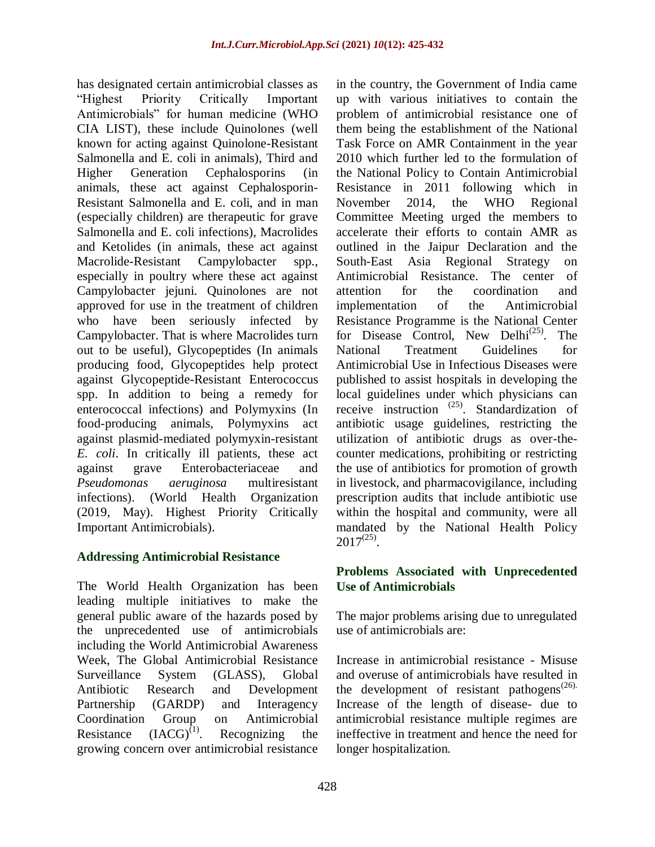has designated certain antimicrobial classes as "Highest Priority Critically Important Antimicrobials" for human medicine (WHO CIA LIST), these include Quinolones (well known for acting against Quinolone-Resistant Salmonella and E. coli in animals), Third and Higher Generation Cephalosporins (in animals, these act against Cephalosporin-Resistant Salmonella and E. coli, and in man (especially children) are therapeutic for grave Salmonella and E. coli infections), Macrolides and Ketolides (in animals, these act against Macrolide-Resistant Campylobacter spp., especially in poultry where these act against Campylobacter jejuni. Quinolones are not approved for use in the treatment of children who have been seriously infected by Campylobacter. That is where Macrolides turn out to be useful), Glycopeptides (In animals producing food, Glycopeptides help protect against Glycopeptide-Resistant Enterococcus spp. In addition to being a remedy for enterococcal infections) and Polymyxins (In food-producing animals, Polymyxins act against plasmid-mediated polymyxin-resistant *E. coli*. In critically ill patients, these act against grave Enterobacteriaceae and *Pseudomonas aeruginosa* multiresistant infections). (World Health Organization (2019, May). Highest Priority Critically Important Antimicrobials).

## **Addressing Antimicrobial Resistance**

The World Health Organization has been leading multiple initiatives to make the general public aware of the hazards posed by the unprecedented use of antimicrobials including the World Antimicrobial Awareness Week, The Global Antimicrobial Resistance Surveillance System (GLASS), Global Antibiotic Research and Development Partnership (GARDP) and Interagency Coordination Group on Antimicrobial Resistance  $(IACG)^{(1)}$ . Recognizing the growing concern over antimicrobial resistance

in the country, the Government of India came up with various initiatives to contain the problem of antimicrobial resistance one of them being the establishment of the National Task Force on AMR Containment in the year 2010 which further led to the formulation of the National Policy to Contain Antimicrobial Resistance in 2011 following which in November 2014, the WHO Regional Committee Meeting urged the members to accelerate their efforts to contain AMR as outlined in the Jaipur Declaration and the South-East Asia Regional Strategy on Antimicrobial Resistance. The center of attention for the coordination and implementation of the Antimicrobial Resistance Programme is the National Center for Disease Control, New Delhi<sup>(25)</sup>. The National Treatment Guidelines for Antimicrobial Use in Infectious Diseases were published to assist hospitals in developing the local guidelines under which physicians can receive instruction <sup>(25)</sup>. Standardization of antibiotic usage guidelines, restricting the utilization of antibiotic drugs as over-thecounter medications, prohibiting or restricting the use of antibiotics for promotion of growth in livestock, and pharmacovigilance, including prescription audits that include antibiotic use within the hospital and community, were all mandated by the National Health Policy  $2017^{(25)}$ .

## **Problems Associated with Unprecedented Use of Antimicrobials**

The major problems arising due to unregulated use of antimicrobials are:

Increase in antimicrobial resistance - Misuse and overuse of antimicrobials have resulted in the development of resistant pathogens<sup> $(26)$ </sup>. Increase of the length of disease- due to antimicrobial resistance multiple regimes are ineffective in treatment and hence the need for longer hospitalization.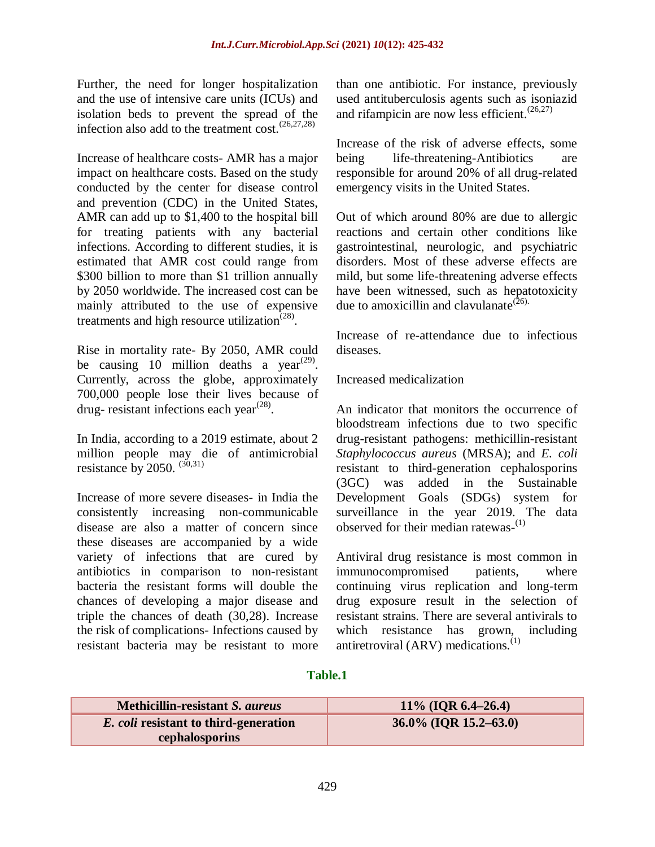Further, the need for longer hospitalization and the use of intensive care units (ICUs) and isolation beds to prevent the spread of the infection also add to the treatment cost. $(26,27,28)$ 

Increase of healthcare costs- AMR has a major impact on healthcare costs. Based on the study conducted by the center for disease control and prevention (CDC) in the United States, AMR can add up to \$1,400 to the hospital bill for treating patients with any bacterial infections. According to different studies, it is estimated that AMR cost could range from \$300 billion to more than \$1 trillion annually by 2050 worldwide. The increased cost can be mainly attributed to the use of expensive treatments and high resource utilization<sup> $(28)$ </sup>.

Rise in mortality rate- By 2050, AMR could be causing 10 million deaths a year<sup> $(29)$ </sup>. Currently, across the globe, approximately 700,000 people lose their lives because of drug- resistant infections each year<sup> $(28)$ </sup>.

In India, according to a 2019 estimate, about 2 million people may die of antimicrobial resistance by 2050.  $(30,31)$ 

Increase of more severe diseases- in India the consistently increasing non-communicable disease are also a matter of concern since these diseases are accompanied by a wide variety of infections that are cured by antibiotics in comparison to non-resistant bacteria the resistant forms will double the chances of developing a major disease and triple the chances of death (30,28). Increase the risk of complications- Infections caused by resistant bacteria may be resistant to more

than one antibiotic. For instance, previously used antituberculosis agents such as isoniazid and rifampicin are now less efficient.(26,27)

Increase of the risk of adverse effects, some being life-threatening-Antibiotics are responsible for around 20% of all drug-related emergency visits in the United States.

Out of which around 80% are due to allergic reactions and certain other conditions like gastrointestinal, neurologic, and psychiatric disorders. Most of these adverse effects are mild, but some life-threatening adverse effects have been witnessed, such as hepatotoxicity due to amoxicillin and clavulanate<sup>( $26$ ).</sup>

Increase of re-attendance due to infectious diseases.

Increased medicalization

An indicator that monitors the occurrence of bloodstream infections due to two specific drug-resistant pathogens: methicillin-resistant *Staphylococcus aureus* (MRSA); and *E. coli* resistant to third-generation cephalosporins (3GC) was added in the Sustainable Development Goals (SDGs) system for surveillance in the year 2019. The data observed for their median ratewas-<sup>(1)</sup>

Antiviral drug resistance is most common in immunocompromised patients, where continuing virus replication and long-term drug exposure result in the selection of resistant strains. There are several antivirals to which resistance has grown, including antiretroviral (ARV) medications.<sup>(1)</sup>

#### **Table.1**

| 11\% (IQR 6.4-26.4)      |
|--------------------------|
| $36.0\%$ (IQR 15.2–63.0) |
|                          |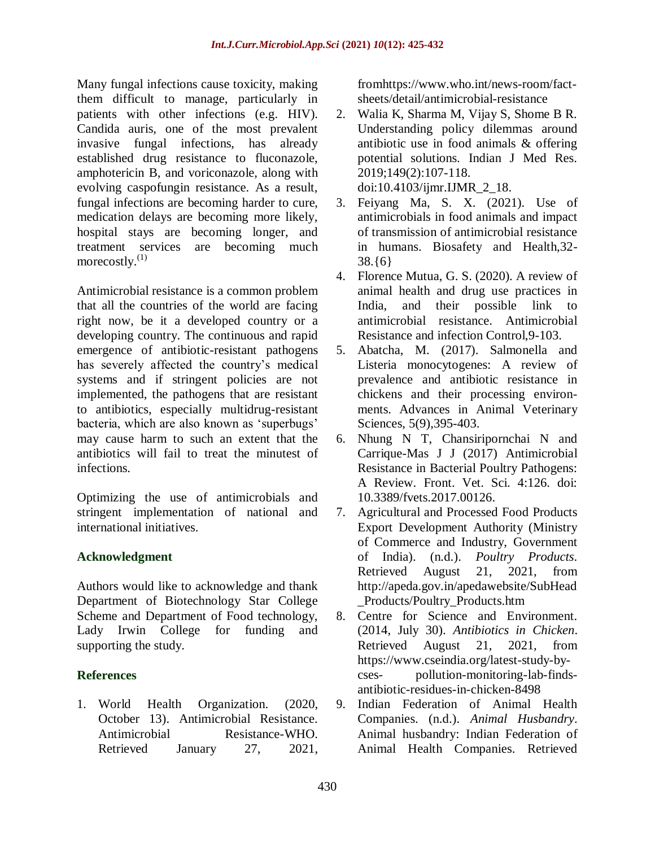Many fungal infections cause toxicity, making them difficult to manage, particularly in patients with other infections (e.g. HIV). Candida auris, one of the most prevalent invasive fungal infections, has already established drug resistance to fluconazole, amphotericin B, and voriconazole, along with evolving caspofungin resistance. As a result, fungal infections are becoming harder to cure, medication delays are becoming more likely, hospital stays are becoming longer, and treatment services are becoming much morecostly.<sup>(1)</sup>

Antimicrobial resistance is a common problem that all the countries of the world are facing right now, be it a developed country or a developing country. The continuous and rapid emergence of antibiotic-resistant pathogens has severely affected the country's medical systems and if stringent policies are not implemented, the pathogens that are resistant to antibiotics, especially multidrug-resistant bacteria, which are also known as "superbugs" may cause harm to such an extent that the antibiotics will fail to treat the minutest of infections.

Optimizing the use of antimicrobials and stringent implementation of national and international initiatives.

## **Acknowledgment**

Authors would like to acknowledge and thank Department of Biotechnology Star College Scheme and Department of Food technology, Lady Irwin College for funding and supporting the study.

## **References**

1. World Health Organization. (2020, October 13). Antimicrobial Resistance. Antimicrobial Resistance-WHO. Retrieved January 27, 2021, fro[mhttps://www.who.int/news-room/fact](https://www.who.int/news-room/fact-sheets/detail/antimicrobial-resistance)[sheets/detail/antimicrobial-resistance](https://www.who.int/news-room/fact-sheets/detail/antimicrobial-resistance)

- 2. Walia K, Sharma M, Vijay S, Shome B R. Understanding policy dilemmas around antibiotic use in food animals & offering potential solutions. Indian J Med Res. 2019;149(2):107-118. doi:10.4103/ijmr.IJMR\_2\_18.
- 3. Feiyang Ma, S. X. (2021). Use of antimicrobials in food animals and impact of transmission of antimicrobial resistance in humans. Biosafety and Health,32- 38.{6}
- 4. Florence Mutua, G. S. (2020). A review of animal health and drug use practices in India, and their possible link to antimicrobial resistance. Antimicrobial Resistance and infection Control,9-103.
- 5. Abatcha, M. (2017). Salmonella and Listeria monocytogenes: A review of prevalence and antibiotic resistance in chickens and their processing environments. Advances in Animal Veterinary Sciences, 5(9),395-403.
- 6. Nhung N T, Chansiripornchai N and Carrique-Mas J J (2017) Antimicrobial Resistance in Bacterial Poultry Pathogens: A Review. Front. Vet. Sci. 4:126. doi: 10.3389/fvets.2017.00126.
- 7. Agricultural and Processed Food Products Export Development Authority (Ministry of Commerce and Industry, Government of India). (n.d.). *Poultry Products*. Retrieved August 21, 2021, from [http://apeda.gov.in/apedawebsite/SubHead](http://apeda.gov.in/apedawebsite/SubHead_Products/Poultry_Products.htm) [\\_Products/Poultry\\_Products.htm](http://apeda.gov.in/apedawebsite/SubHead_Products/Poultry_Products.htm)
- 8. Centre for Science and Environment. (2014, July 30). *Antibiotics in Chicken*. Retrieved August 21, 2021, from [https://www.cseindia.org/latest-study-by](https://www.cseindia.org/latest-study-by-cses-pollution-monitoring-lab-finds-antibiotic-residues-in-chicken-8498)[cses-](https://www.cseindia.org/latest-study-by-cses-pollution-monitoring-lab-finds-antibiotic-residues-in-chicken-8498) [pollution-monitoring-lab-finds](https://www.cseindia.org/latest-study-by-cses-pollution-monitoring-lab-finds-antibiotic-residues-in-chicken-8498)antibiotic-residues-in-chicken-8498
- 9. Indian Federation of Animal Health Companies. (n.d.). *Animal Husbandry*. Animal husbandry: Indian Federation of Animal Health Companies. Retrieved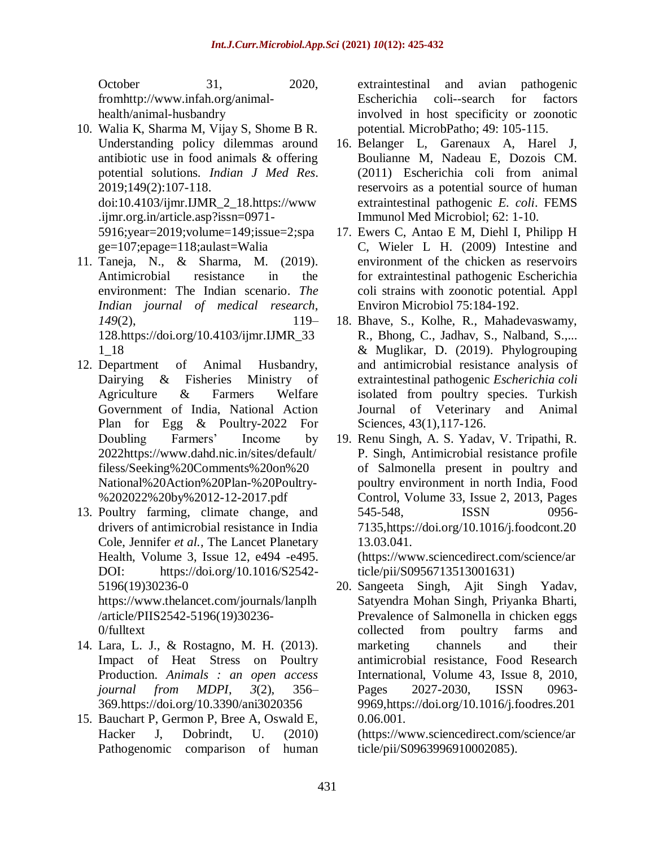October 31, 2020, fro[mhttp://www.infah.org/animal](http://www.infah.org/animal-health/animal-husbandry)[health/animal-husbandry](http://www.infah.org/animal-health/animal-husbandry)

- 10. Walia K, Sharma M, Vijay S, Shome B R. Understanding policy dilemmas around antibiotic use in food animals & offering potential solutions. *Indian J Med Res*. 2019;149(2):107-118. doi:10.4103/ijmr.IJMR\_2\_18[.https://www](https://www.ijmr.org.in/article.asp?issn=0971-5916%3Byear%3D2019%3Bvolume%3D149%3Bissue%3D2%3Bspage%3D107%3Bepage%3D118%3Baulast%3DWalia) [.ijmr.org.in/article.asp?issn=0971-](https://www.ijmr.org.in/article.asp?issn=0971-5916%3Byear%3D2019%3Bvolume%3D149%3Bissue%3D2%3Bspage%3D107%3Bepage%3D118%3Baulast%3DWalia) 5916;year=2019;volume=149;issue=2;spa ge=107;epage=118;aulast=Walia
- 11. Taneja, N., & Sharma, M. (2019). Antimicrobial resistance in the environment: The Indian scenario. *The Indian journal of medical research*, *149*(2), 119– 128[.https://doi.org/10.4103/ijmr.IJMR\\_33](https://doi.org/10.4103/ijmr.IJMR_331_18) [1\\_18](https://doi.org/10.4103/ijmr.IJMR_331_18)
- 12. Department of Animal Husbandry, Dairying & Fisheries Ministry of Agriculture & Farmers Welfare Government of India, National Action Plan for Egg & Poultry-2022 For Doubling Farmers' Income by 202[2https://www.dahd.nic.in/sites/default/](https://www.dahd.nic.in/sites/default/filess/Seeking%20Comments%20on%20National%20Action%20Plan-%20Poultry-%202022%20by%2012-12-2017.pdf) [filess/Seeking%20Comments%20on%20](https://www.dahd.nic.in/sites/default/filess/Seeking%20Comments%20on%20National%20Action%20Plan-%20Poultry-%202022%20by%2012-12-2017.pdf) [National%20Action%20Plan-%20Poultry-](https://www.dahd.nic.in/sites/default/filess/Seeking%20Comments%20on%20National%20Action%20Plan-%20Poultry-%202022%20by%2012-12-2017.pdf) %202022%20by%2012-12-2017.pdf
- 13. Poultry farming, climate change, and drivers of antimicrobial resistance in India Cole, Jennifer *et al.,* The Lancet Planetary Health, Volume 3, Issue 12, e494 -e495. DOI: https://doi.org/10.1016/S2542- 5196(19)30236-0 [https://www.thelancet.com/journals/lanplh](https://www.thelancet.com/journals/lanplh/article/PIIS2542-5196(19)30236-0/fulltext) [/article/PIIS2542-5196\(19\)30236-](https://www.thelancet.com/journals/lanplh/article/PIIS2542-5196(19)30236-0/fulltext)

[0/fulltext](https://www.thelancet.com/journals/lanplh/article/PIIS2542-5196(19)30236-0/fulltext)

- 14. Lara, L. J., & Rostagno, M. H. (2013). Impact of Heat Stress on Poultry Production. *Animals : an open access journal from MDPI*, *3*(2), 356– 369[.https://doi.org/10.3390/ani3020356](https://doi.org/10.3390/ani3020356)
- 15. Bauchart P, Germon P, Bree A, Oswald E, Hacker J, Dobrindt, U. (2010) Pathogenomic comparison of human

extraintestinal and avian pathogenic Escherichia coli--search for factors involved in host specificity or zoonotic potential. MicrobPatho; 49: 105-115.

- 16. Belanger L, Garenaux A, Harel J, Boulianne M, Nadeau E, Dozois CM. (2011) Escherichia coli from animal reservoirs as a potential source of human extraintestinal pathogenic *E. coli*. FEMS Immunol Med Microbiol; 62: 1-10.
- 17. Ewers C, Antao E M, Diehl I, Philipp H C, Wieler L H. (2009) Intestine and environment of the chicken as reservoirs for extraintestinal pathogenic Escherichia coli strains with zoonotic potential. Appl Environ Microbiol 75:184-192.
- 18. Bhave, S., Kolhe, R., Mahadevaswamy, R., Bhong, C., Jadhav, S., Nalband, S.,... & Muglikar, D. (2019). Phylogrouping and antimicrobial resistance analysis of extraintestinal pathogenic *Escherichia coli* isolated from poultry species. Turkish Journal of Veterinary and Animal Sciences, 43(1),117-126.
- 19. Renu Singh, A. S. Yadav, V. Tripathi, R. P. Singh, Antimicrobial resistance profile of Salmonella present in poultry and poultry environment in north India, Food Control, Volume 33, Issue 2, 2013, Pages 545-548, ISSN 0956- 7135[,https://doi.org/10.1016/j.foodcont.20](https://doi.org/10.1016/j.foodcont.2013.03.041) [13.03.041.](https://doi.org/10.1016/j.foodcont.2013.03.041) [\(https://www.sciencedirect.com/science/ar](https://www.sciencedirect.com/science/article/pii/S0956713513001631)

[ticle/pii/S0956713513001631\)](https://www.sciencedirect.com/science/article/pii/S0956713513001631)

20. Sangeeta Singh, Ajit Singh Yadav, Satyendra Mohan Singh, Priyanka Bharti, Prevalence of Salmonella in chicken eggs collected from poultry farms and marketing channels and their antimicrobial resistance, Food Research International, Volume 43, Issue 8, 2010, Pages 2027-2030, ISSN 0963- 9969[,https://doi.org/10.1016/j.foodres.201](https://doi.org/10.1016/j.foodres.2010.06.001) [0.06.001.](https://doi.org/10.1016/j.foodres.2010.06.001)

[\(https://www.sciencedirect.com/science/ar](https://www.sciencedirect.com/science/article/pii/S0963996910002085) [ticle/pii/S0963996910002085\)](https://www.sciencedirect.com/science/article/pii/S0963996910002085).